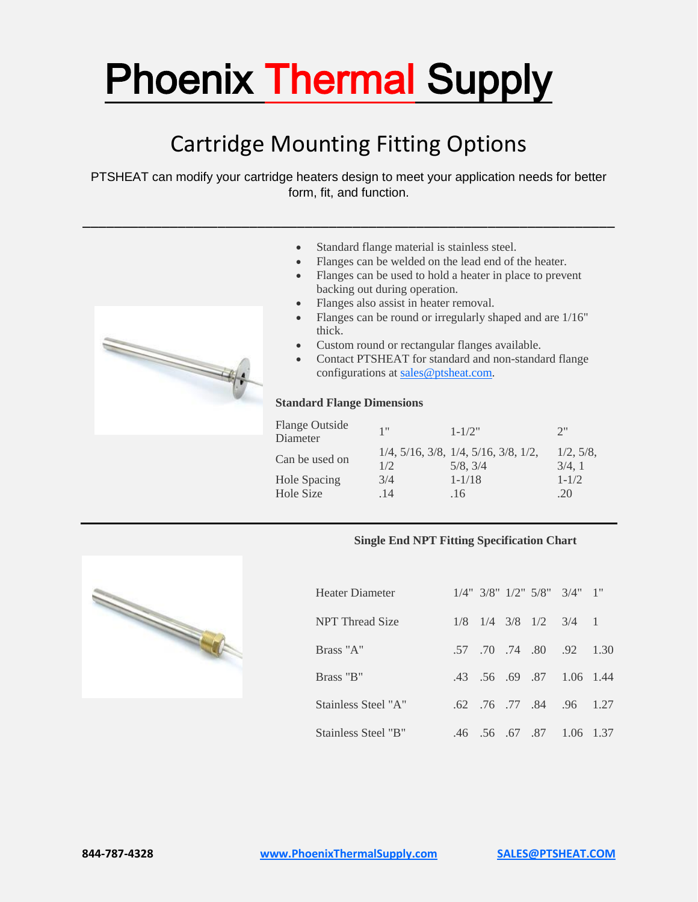# Phoenix Thermal Supply

### Cartridge Mounting Fitting Options

PTSHEAT can modify your cartridge heaters design to meet your application needs for better form, fit, and function.

\_\_\_\_\_\_\_\_\_\_\_\_\_\_\_\_\_\_\_\_\_\_\_\_\_\_\_\_\_\_\_\_\_\_\_\_\_\_\_\_\_\_\_\_\_\_\_\_\_\_\_\_\_\_\_\_\_\_\_\_\_\_\_\_\_\_\_



- Standard flange material is stainless steel.
- Flanges can be welded on the lead end of the heater.
- Flanges can be used to hold a heater in place to prevent backing out during operation.
- Flanges also assist in heater removal.
- Flanges can be round or irregularly shaped and are 1/16" thick.
- Custom round or rectangular flanges available.
- Contact PTSHEAT for standard and non-standard flange configurations at [sales@ptsheat.com.](mailto:sales@ptsheat.com)

#### **Standard Flange Dimensions**

| <b>Flange Outside</b><br>Diameter | 1"         | $1 - 1/2"$                                                            | 2"                 |
|-----------------------------------|------------|-----------------------------------------------------------------------|--------------------|
| Can be used on                    | 1/2        | $1/4$ , $5/16$ , $3/8$ , $1/4$ , $5/16$ , $3/8$ , $1/2$ ,<br>5/8, 3/4 | 1/2, 5/8,<br>3/4.1 |
| <b>Hole Spacing</b><br>Hole Size  | 3/4<br>.14 | $1 - 1/18$<br>.16                                                     | $1 - 1/2$<br>.20   |

#### **Single End NPT Fitting Specification Chart**



| Heater Diameter        |     |                 |                 | $1/4$ " $3/8$ " $1/2$ " $5/8$ " $3/4$ " $1$ " |       |
|------------------------|-----|-----------------|-----------------|-----------------------------------------------|-------|
| <b>NPT</b> Thread Size | 1/8 |                 |                 | $1/4$ 3/8 $1/2$ 3/4 1                         |       |
| Brass "A"              | .57 |                 | .70 .74 .80 .92 |                                               | 1.30  |
| Brass "B"              |     |                 | .43 .56 .69 .87 | $1.06$ 1.44                                   |       |
| Stainless Steel "A"    |     |                 |                 | .62 .76 .77 .84 .96 1.27                      |       |
| Stainless Steel "B"    |     | .46 .56 .67 .87 |                 | 1.06                                          | -1.37 |